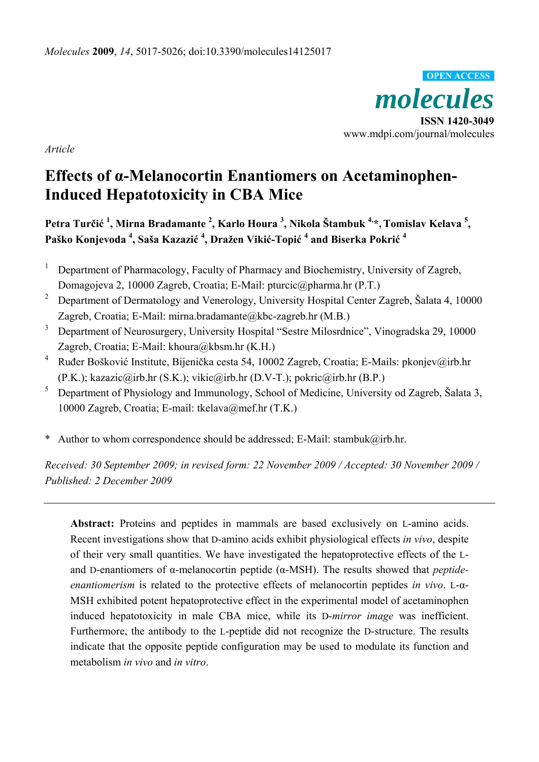

*Article* 

# **Effects of α-Melanocortin Enantiomers on Acetaminophen-Induced Hepatotoxicity in CBA Mice**

**Petra Turčić <sup>1</sup> , Mirna Bradamante <sup>2</sup> , Karlo Houra <sup>3</sup> , Nikola Štambuk 4,\*,Tomislav Kelava 5 , Paško Konjevoda <sup>4</sup> , Saša Kazazić <sup>4</sup> , Dražen Vikić-Topić <sup>4</sup> and Biserka Pokrić <sup>4</sup>**

- 1 Department of Pharmacology, Faculty of Pharmacy and Biochemistry, University of Zagreb, Domagojeva 2, 10000 Zagreb, Croatia; E-Mail: pturcic@pharma.hr (P.T.)
- 2 Department of Dermatology and Venerology, University Hospital Center Zagreb, Šalata 4, 10000 Zagreb, Croatia; E-Mail: mirna.bradamante@kbc-zagreb.hr (M.B.)
- 3 Department of Neurosurgery, University Hospital "Sestre Milosrdnice", Vinogradska 29, 10000 Zagreb, Croatia; E-Mail: khoura@kbsm.hr (K.H.)
- <sup>4</sup> Ruđer Bošković Institute, Bijenička cesta 54, 10002 Zagreb, Croatia; E-Mails: pkonjev@irb.hr (P.K.); kazazic@irb.hr (S.K.); vikic@irb.hr (D.V-T.); pokric@irb.hr (B.P.)
- 5 Department of Physiology and Immunology, School of Medicine, University od Zagreb, Šalata 3, 10000 Zagreb, Croatia; E-mail: tkelava@mef.hr (T.K.)
- \* Author to whom correspondence should be addressed; E-Mail: stambuk@irb.hr.

*Received: 30 September 2009; in revised form: 22 November 2009 / Accepted: 30 November 2009 / Published: 2 December 2009* 

**Abstract:** Proteins and peptides in mammals are based exclusively on L-amino acids. Recent investigations show that D-amino acids exhibit physiological effects *in vivo*, despite of their very small quantities. We have investigated the hepatoprotective effects of the Land D-enantiomers of α-melanocortin peptide (α-MSH). The results showed that *peptideenantiomerism* is related to the protective effects of melanocortin peptides *in vivo*. L-α-MSH exhibited potent hepatoprotective effect in the experimental model of acetaminophen induced hepatotoxicity in male CBA mice, while its D-*mirror image* was inefficient. Furthermore, the antibody to the L-peptide did not recognize the D-structure. The results indicate that the opposite peptide configuration may be used to modulate its function and metabolism *in vivo* and *in vitro*.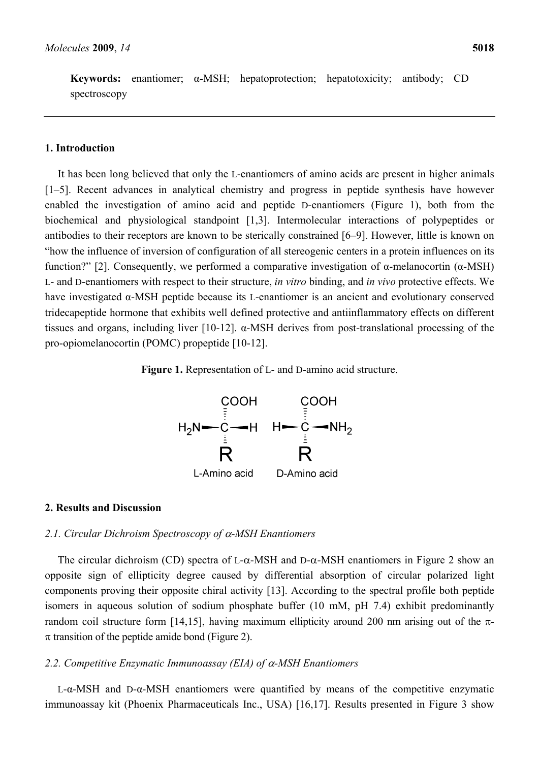**Keywords:** enantiomer; α-MSH; hepatoprotection; hepatotoxicity; antibody; CD spectroscopy

# **1. Introduction**

It has been long believed that only the L-enantiomers of amino acids are present in higher animals [1–5]. Recent advances in analytical chemistry and progress in peptide synthesis have however enabled the investigation of amino acid and peptide D-enantiomers (Figure 1), both from the biochemical and physiological standpoint [1,3]. Intermolecular interactions of polypeptides or antibodies to their receptors are known to be sterically constrained [6–9]. However, little is known on "how the influence of inversion of configuration of all stereogenic centers in a protein influences on its function?" [2]. Consequently, we performed a comparative investigation of α-melanocortin (α-MSH) L- and D-enantiomers with respect to their structure, *in vitro* binding, and *in vivo* protective effects. We have investigated α-MSH peptide because its L-enantiomer is an ancient and evolutionary conserved tridecapeptide hormone that exhibits well defined protective and antiinflammatory effects on different tissues and organs, including liver [10-12]. α-MSH derives from post-translational processing of the pro-opiomelanocortin (POMC) propeptide [10-12].

### **Figure 1.** Representation of L- and D-amino acid structure.



#### **2. Results and Discussion**

#### *2.1. Circular Dichroism Spectroscopy of* α*-MSH Enantiomers*

The circular dichroism (CD) spectra of L- $\alpha$ -MSH and D- $\alpha$ -MSH enantiomers in Figure 2 show an opposite sign of ellipticity degree caused by differential absorption of circular polarized light components proving their opposite chiral activity [13]. According to the spectral profile both peptide isomers in aqueous solution of sodium phosphate buffer (10 mM, pH 7.4) exhibit predominantly random coil structure form [14,15], having maximum ellipticity around 200 nm arising out of the π- $\pi$  transition of the peptide amide bond (Figure 2).

## *2.2. Competitive Enzymatic Immunoassay (EIA) of* α*-MSH Enantiomers*

L-α-MSH and D-α-MSH enantiomers were quantified by means of the competitive enzymatic immunoassay kit (Phoenix Pharmaceuticals Inc., USA) [16,17]. Results presented in Figure 3 show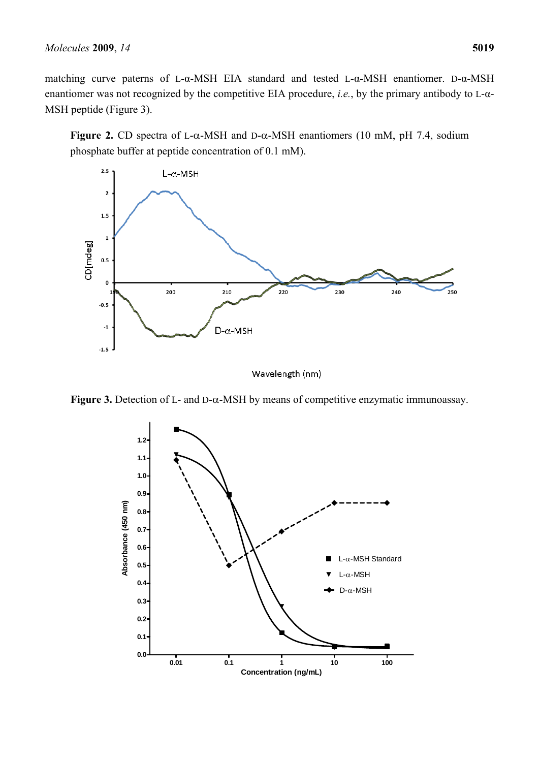matching curve paterns of L-α-MSH EIA standard and tested L-α-MSH enantiomer. D-α-MSH enantiomer was not recognized by the competitive EIA procedure, *i.e.*, by the primary antibody to L-α-MSH peptide (Figure 3).

**Figure 2.** CD spectra of L- $\alpha$ -MSH and D- $\alpha$ -MSH enantiomers (10 mM, pH 7.4, sodium phosphate buffer at peptide concentration of 0.1 mM).



Wavelength (nm)



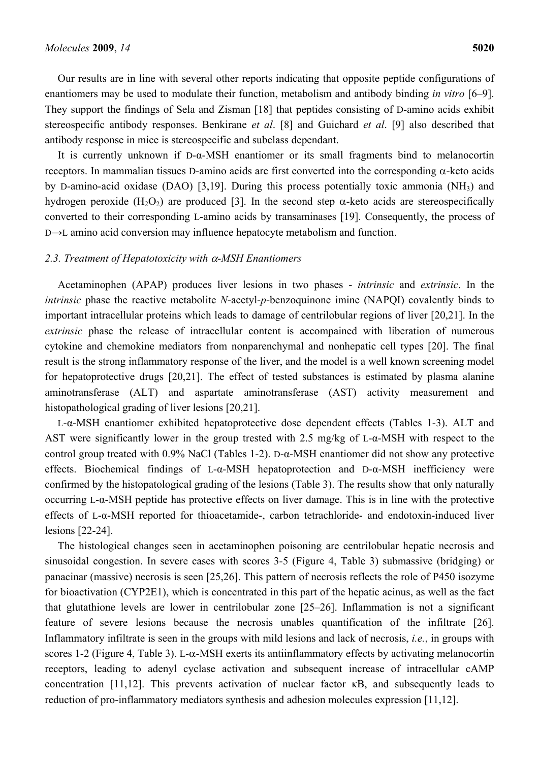Our results are in line with several other reports indicating that opposite peptide configurations of enantiomers may be used to modulate their function, metabolism and antibody binding *in vitro* [6–9]. They support the findings of Sela and Zisman [18] that peptides consisting of D-amino acids exhibit stereospecific antibody responses. Benkirane *et al*. [8] and Guichard *et al*. [9] also described that antibody response in mice is stereospecific and subclass dependant.

It is currently unknown if D-α-MSH enantiomer or its small fragments bind to melanocortin receptors. In mammalian tissues D-amino acids are first converted into the corresponding α-keto acids by D-amino-acid oxidase (DAO) [3,19]. During this process potentially toxic ammonia (NH3) and hydrogen peroxide  $(H_2O_2)$  are produced [3]. In the second step  $\alpha$ -keto acids are stereospecifically converted to their corresponding L-amino acids by transaminases [19]. Consequently, the process of D→L amino acid conversion may influence hepatocyte metabolism and function.

#### *2.3. Treatment of Hepatotoxicity with* α*-MSH Enantiomers*

Acetaminophen (APAP) produces liver lesions in two phases - *intrinsic* and *extrinsic*. In the *intrinsic* phase the reactive metabolite *N*-acetyl-*p*-benzoquinone imine (NAPQI) covalently binds to important intracellular proteins which leads to damage of centrilobular regions of liver [20,21]. In the *extrinsic* phase the release of intracellular content is accompained with liberation of numerous cytokine and chemokine mediators from nonparenchymal and nonhepatic cell types [20]. The final result is the strong inflammatory response of the liver, and the model is a well known screening model for hepatoprotective drugs [20,21]. The effect of tested substances is estimated by plasma alanine aminotransferase (ALT) and aspartate aminotransferase (AST) activity measurement and histopathological grading of liver lesions [20,21].

L-α-MSH enantiomer exhibited hepatoprotective dose dependent effects (Tables 1-3). ALT and AST were significantly lower in the group trested with 2.5 mg/kg of L-α-MSH with respect to the control group treated with  $0.9\%$  NaCl (Tables 1-2). D- $\alpha$ -MSH enantiomer did not show any protective effects. Biochemical findings of L- $\alpha$ -MSH hepatoprotection and D- $\alpha$ -MSH inefficiency were confirmed by the histopatological grading of the lesions (Table 3). The results show that only naturally occurring L-α-MSH peptide has protective effects on liver damage. This is in line with the protective effects of L-α-MSH reported for thioacetamide-, carbon tetrachloride- and endotoxin-induced liver lesions [22-24].

The histological changes seen in acetaminophen poisoning are centrilobular hepatic necrosis and sinusoidal congestion. In severe cases with scores 3-5 (Figure 4, Table 3) submassive (bridging) or panacinar (massive) necrosis is seen [25,26]. This pattern of necrosis reflects the role of P450 isozyme for bioactivation (CYP2E1), which is concentrated in this part of the hepatic acinus, as well as the fact that glutathione levels are lower in centrilobular zone [25–26]. Inflammation is not a significant feature of severe lesions because the necrosis unables quantification of the infiltrate [26]. Inflammatory infiltrate is seen in the groups with mild lesions and lack of necrosis, *i.e.*, in groups with scores 1-2 (Figure 4, Table 3). L-α-MSH exerts its antiinflammatory effects by activating melanocortin receptors, leading to adenyl cyclase activation and subsequent increase of intracellular cAMP concentration [11,12]. This prevents activation of nuclear factor κB, and subsequently leads to reduction of pro-inflammatory mediators synthesis and adhesion molecules expression [11,12].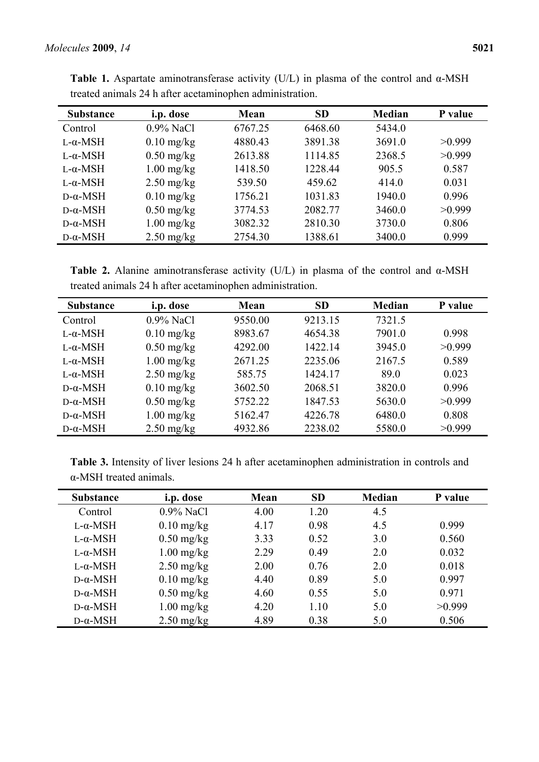| <b>Substance</b> | i.p. dose    | Mean    | <b>SD</b> | <b>Median</b> | P value |
|------------------|--------------|---------|-----------|---------------|---------|
| Control          | $0.9\%$ NaCl | 6767.25 | 6468.60   | 5434.0        |         |
| $L-\alpha$ -MSH  | $0.10$ mg/kg | 4880.43 | 3891.38   | 3691.0        | >0.999  |
| $L-\alpha$ -MSH  | $0.50$ mg/kg | 2613.88 | 1114.85   | 2368.5        | >0.999  |
| $L-\alpha$ -MSH  | $1.00$ mg/kg | 1418.50 | 1228.44   | 905.5         | 0.587   |
| $L-\alpha$ -MSH  | $2.50$ mg/kg | 539.50  | 459.62    | 414.0         | 0.031   |
| $D-\alpha$ -MSH  | $0.10$ mg/kg | 1756.21 | 1031.83   | 1940.0        | 0.996   |
| $D-\alpha$ -MSH  | $0.50$ mg/kg | 3774.53 | 2082.77   | 3460.0        | >0.999  |
| $D-\alpha$ -MSH  | $1.00$ mg/kg | 3082.32 | 2810.30   | 3730.0        | 0.806   |
| $D-\alpha$ -MSH  | $2.50$ mg/kg | 2754.30 | 1388.61   | 3400.0        | 0.999   |

**Table 1.** Aspartate aminotransferase activity (U/L) in plasma of the control and α-MSH treated animals 24 h after acetaminophen administration.

**Table 2.** Alanine aminotransferase activity (U/L) in plasma of the control and α-MSH treated animals 24 h after acetaminophen administration.

| <b>Substance</b> | i.p. dose    | Mean    | <b>SD</b> | <b>Median</b> | P value |
|------------------|--------------|---------|-----------|---------------|---------|
| Control          | 0.9% NaCl    | 9550.00 | 9213.15   | 7321.5        |         |
| $L-\alpha$ -MSH  | $0.10$ mg/kg | 8983.67 | 4654.38   | 7901.0        | 0.998   |
| $L-\alpha$ -MSH  | $0.50$ mg/kg | 4292.00 | 1422.14   | 3945.0        | >0.999  |
| $L-\alpha$ -MSH  | $1.00$ mg/kg | 2671.25 | 2235.06   | 2167.5        | 0.589   |
| $L-\alpha-MSH$   | $2.50$ mg/kg | 585.75  | 1424.17   | 89.0          | 0.023   |
| $D-\alpha$ -MSH  | $0.10$ mg/kg | 3602.50 | 2068.51   | 3820.0        | 0.996   |
| $D-\alpha$ -MSH  | $0.50$ mg/kg | 5752.22 | 1847.53   | 5630.0        | >0.999  |
| $D-\alpha$ -MSH  | $1.00$ mg/kg | 5162.47 | 4226.78   | 6480.0        | 0.808   |
| $D-\alpha$ -MSH  | $2.50$ mg/kg | 4932.86 | 2238.02   | 5580.0        | >0.999  |

**Table 3.** Intensity of liver lesions 24 h after acetaminophen administration in controls and α-MSH treated animals.

| <b>Substance</b> | i.p. dose    | Mean | <b>SD</b> | <b>Median</b> | P value |
|------------------|--------------|------|-----------|---------------|---------|
| Control          | $0.9\%$ NaCl | 4.00 | 1.20      | 4.5           |         |
| $L-\alpha$ -MSH  | $0.10$ mg/kg | 4.17 | 0.98      | 4.5           | 0.999   |
| $L-\alpha-MSH$   | $0.50$ mg/kg | 3.33 | 0.52      | 3.0           | 0.560   |
| $L-\alpha-MSH$   | $1.00$ mg/kg | 2.29 | 0.49      | 2.0           | 0.032   |
| $L-\alpha$ -MSH  | $2.50$ mg/kg | 2.00 | 0.76      | 2.0           | 0.018   |
| $D-\alpha$ -MSH  | $0.10$ mg/kg | 4.40 | 0.89      | 5.0           | 0.997   |
| $D-\alpha$ -MSH  | $0.50$ mg/kg | 4.60 | 0.55      | 5.0           | 0.971   |
| $D-\alpha$ -MSH  | $1.00$ mg/kg | 4.20 | 1.10      | 5.0           | >0.999  |
| $D-\alpha$ -MSH  | $2.50$ mg/kg | 4.89 | 0.38      | 5.0           | 0.506   |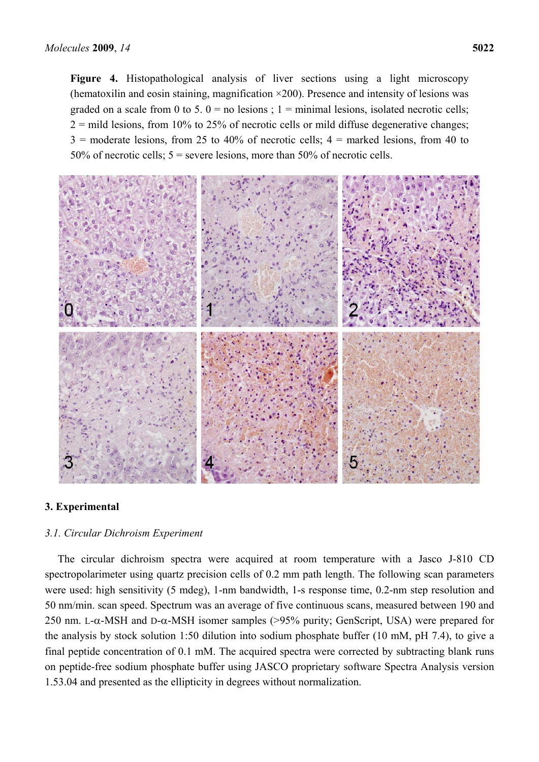**Figure 4.** Histopathological analysis of liver sections using a light microscopy (hematoxilin and eosin staining, magnification  $\times$ 200). Presence and intensity of lesions was graded on a scale from 0 to 5.  $0 =$  no lesions ; 1 = minimal lesions, isolated necrotic cells;  $2 =$  mild lesions, from 10% to 25% of necrotic cells or mild diffuse degenerative changes;  $3 =$  moderate lesions, from 25 to 40% of necrotic cells;  $4 =$  marked lesions, from 40 to 50% of necrotic cells; 5 = severe lesions, more than 50% of necrotic cells.



# **3. Experimental**

#### *3.1. Circular Dichroism Experiment*

The circular dichroism spectra were acquired at room temperature with a Jasco J-810 CD spectropolarimeter using quartz precision cells of 0.2 mm path length. The following scan parameters were used: high sensitivity (5 mdeg), 1-nm bandwidth, 1-s response time, 0.2-nm step resolution and 50 nm/min. scan speed. Spectrum was an average of five continuous scans, measured between 190 and 250 nm. L- $\alpha$ -MSH and D- $\alpha$ -MSH isomer samples (>95% purity; GenScript, USA) were prepared for the analysis by stock solution 1:50 dilution into sodium phosphate buffer (10 mM, pH 7.4), to give a final peptide concentration of 0.1 mM. The acquired spectra were corrected by subtracting blank runs on peptide-free sodium phosphate buffer using JASCO proprietary software Spectra Analysis version 1.53.04 and presented as the ellipticity in degrees without normalization.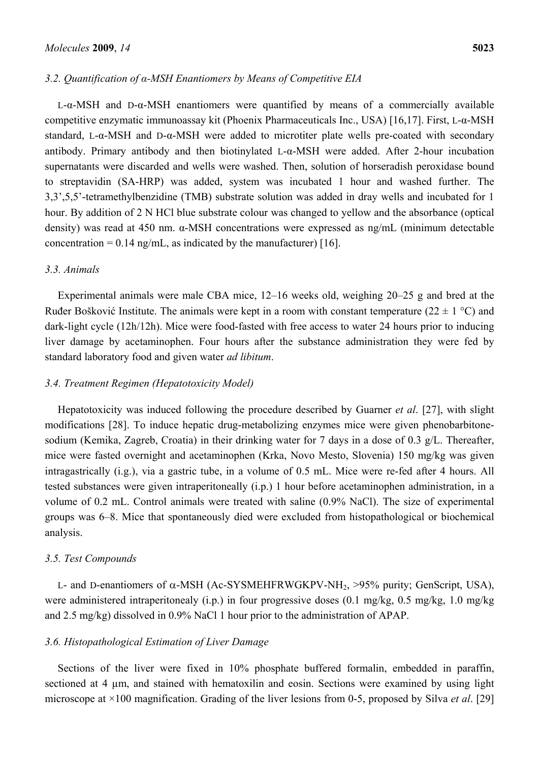## *3.2. Quantification of α-MSH Enantiomers by Means of Competitive EIA*

L-α-MSH and D-α-MSH enantiomers were quantified by means of a commercially available competitive enzymatic immunoassay kit (Phoenix Pharmaceuticals Inc., USA) [16,17]. First, L-α-MSH standard, L-α-MSH and D-α-MSH were added to microtiter plate wells pre-coated with secondary antibody. Primary antibody and then biotinylated L-α-MSH were added. After 2-hour incubation supernatants were discarded and wells were washed. Then, solution of horseradish peroxidase bound to streptavidin (SA-HRP) was added, system was incubated 1 hour and washed further. The 3,3',5,5'-tetramethylbenzidine (TMB) substrate solution was added in dray wells and incubated for 1 hour. By addition of 2 N HCl blue substrate colour was changed to yellow and the absorbance (optical density) was read at 450 nm. α-MSH concentrations were expressed as ng/mL (minimum detectable concentration =  $0.14$  ng/mL, as indicated by the manufacturer) [16].

## *3.3. Animals*

Experimental animals were male CBA mice, 12–16 weeks old, weighing 20–25 g and bred at the Ruđer Bošković Institute. The animals were kept in a room with constant temperature (22  $\pm$  1 °C) and dark-light cycle (12h/12h). Mice were food-fasted with free access to water 24 hours prior to inducing liver damage by acetaminophen. Four hours after the substance administration they were fed by standard laboratory food and given water *ad libitum*.

## *3.4. Treatment Regimen (Hepatotoxicity Model)*

Hepatotoxicity was induced following the procedure described by Guarner *et al*. [27], with slight modifications [28]. To induce hepatic drug-metabolizing enzymes mice were given phenobarbitonesodium (Kemika, Zagreb, Croatia) in their drinking water for 7 days in a dose of 0.3 g/L. Thereafter, mice were fasted overnight and acetaminophen (Krka, Novo Mesto, Slovenia) 150 mg/kg was given intragastrically (i.g.), via a gastric tube, in a volume of 0.5 mL. Mice were re-fed after 4 hours. All tested substances were given intraperitoneally (i.p.) 1 hour before acetaminophen administration, in a volume of 0.2 mL. Control animals were treated with saline (0.9% NaCl). The size of experimental groups was 6–8. Mice that spontaneously died were excluded from histopathological or biochemical analysis.

#### *3.5. Test Compounds*

L- and D-enantiomers of α-MSH (Ac-SYSMEHFRWGKPV-NH<sub>2</sub>, >95% purity; GenScript, USA), were administered intraperitonealy (i.p.) in four progressive doses (0.1 mg/kg, 0.5 mg/kg, 1.0 mg/kg and 2.5 mg/kg) dissolved in 0.9% NaCl 1 hour prior to the administration of APAP.

#### *3.6. Histopathological Estimation of Liver Damage*

Sections of the liver were fixed in 10% phosphate buffered formalin, embedded in paraffin, sectioned at 4  $\mu$ m, and stained with hematoxilin and eosin. Sections were examined by using light microscope at ×100 magnification. Grading of the liver lesions from 0-5, proposed by Silva *et al*. [29]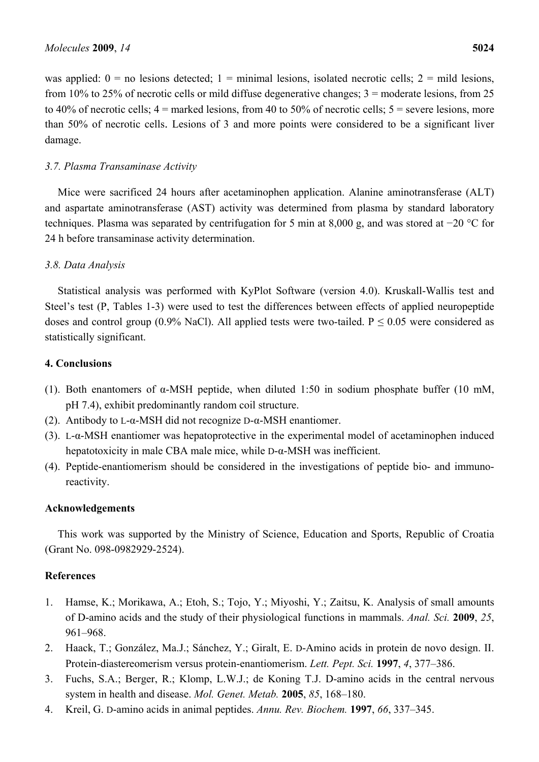was applied:  $0 =$  no lesions detected;  $1 =$  minimal lesions, isolated necrotic cells;  $2 =$  mild lesions, from 10% to 25% of necrotic cells or mild diffuse degenerative changes; 3 = moderate lesions, from 25 to 40% of necrotic cells;  $4 =$  marked lesions, from 40 to 50% of necrotic cells;  $5 =$  severe lesions, more than 50% of necrotic cells. Lesions of 3 and more points were considered to be a significant liver damage.

# *3.7. Plasma Transaminase Activity*

Mice were sacrificed 24 hours after acetaminophen application. Alanine aminotransferase (ALT) and aspartate aminotransferase (AST) activity was determined from plasma by standard laboratory techniques. Plasma was separated by centrifugation for 5 min at 8,000 g, and was stored at −20 °C for 24 h before transaminase activity determination.

# *3.8. Data Analysis*

Statistical analysis was performed with KyPlot Software (version 4.0). Kruskall-Wallis test and Steel's test (P, Tables 1-3) were used to test the differences between effects of applied neuropeptide doses and control group (0.9% NaCl). All applied tests were two-tailed. P  $\leq$  0.05 were considered as statistically significant.

# **4. Conclusions**

- (1). Both enantomers of  $\alpha$ -MSH peptide, when diluted 1:50 in sodium phosphate buffer (10 mM, pH 7.4), exhibit predominantly random coil structure.
- (2). Antibody to L-α-MSH did not recognize D-α-MSH enantiomer.
- (3). L-α-MSH enantiomer was hepatoprotective in the experimental model of acetaminophen induced hepatotoxicity in male CBA male mice, while D-α-MSH was inefficient.
- (4). Peptide-enantiomerism should be considered in the investigations of peptide bio- and immunoreactivity.

# **Acknowledgements**

This work was supported by the Ministry of Science, Education and Sports, Republic of Croatia (Grant No. 098-0982929-2524).

# **References**

- 1. Hamse, K.; Morikawa, A.; Etoh, S.; Tojo, Y.; Miyoshi, Y.; Zaitsu, K. Analysis of small amounts of D-amino acids and the study of their physiological functions in mammals. *Anal. Sci.* **2009**, *25*, 961–968.
- 2. Haack, T.; González, Ma.J.; Sánchez, Y.; Giralt, E. D-Amino acids in protein de novo design. II. Protein-diastereomerism versus protein-enantiomerism. *Lett. Pept. Sci.* **1997**, *4*, 377–386.
- 3. Fuchs, S.A.; Berger, R.; Klomp, L.W.J.; de Koning T.J. D-amino acids in the central nervous system in health and disease. *Mol. Genet. Metab.* **2005**, *85*, 168–180.
- 4. Kreil, G. D-amino acids in animal peptides. *Annu. Rev. Biochem.* **1997**, *66*, 337–345.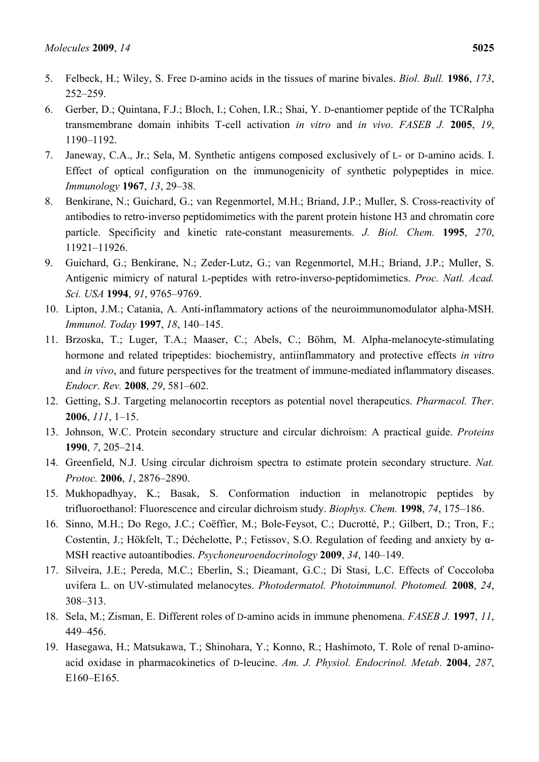- 5. Felbeck, H.; Wiley, S. Free D-amino acids in the tissues of marine bivales. *Biol. Bull.* **1986**, *173*, 252–259.
- 6. Gerber, D.; Quintana, F.J.; Bloch, I.; Cohen, I.R.; Shai, Y. D-enantiomer peptide of the TCRalpha transmembrane domain inhibits T-cell activation *in vitro* and *in vivo*. *FASEB J.* **2005**, *19*, 1190–1192.
- 7. Janeway, C.A., Jr.; Sela, M. Synthetic antigens composed exclusively of L- or D-amino acids. I. Effect of optical configuration on the immunogenicity of synthetic polypeptides in mice. *Immunology* **1967**, *13*, 29–38.
- 8. Benkirane, N.; Guichard, G.; van Regenmortel, M.H.; Briand, J.P.; Muller, S. Cross-reactivity of antibodies to retro-inverso peptidomimetics with the parent protein histone H3 and chromatin core particle. Specificity and kinetic rate-constant measurements. *J. Biol. Chem.* **1995**, *270*, 11921–11926.
- 9. Guichard, G.; Benkirane, N.; Zeder-Lutz, G.; van Regenmortel, M.H.; Briand, J.P.; Muller, S. Antigenic mimicry of natural L-peptides with retro-inverso-peptidomimetics. *Proc. Natl. Acad. Sci. USA* **1994**, *91*, 9765–9769.
- 10. Lipton, J.M.; Catania, A. Anti-inflammatory actions of the neuroimmunomodulator alpha-MSH. *Immunol. Today* **1997**, *18*, 140–145.
- 11. Brzoska, T.; Luger, T.A.; Maaser, C.; Abels, C.; Böhm, M. Alpha-melanocyte-stimulating hormone and related tripeptides: biochemistry, antiinflammatory and protective effects *in vitro* and *in vivo*, and future perspectives for the treatment of immune-mediated inflammatory diseases. *Endocr. Rev.* **2008**, *29*, 581–602.
- 12. Getting, S.J. Targeting melanocortin receptors as potential novel therapeutics. *Pharmacol. Ther*. **2006**, *111*, 1–15.
- 13. Johnson, W.C. Protein secondary structure and circular dichroism: A practical guide. *Proteins*  **1990**, *7*, 205–214.
- 14. Greenfield, N.J. Using circular dichroism spectra to estimate protein secondary structure. *Nat. Protoc.* **2006**, *1*, 2876–2890.
- 15. Mukhopadhyay, K.; Basak, S. Conformation induction in melanotropic peptides by trifluoroethanol: Fluorescence and circular dichroism study. *Biophys. Chem.* **1998**, *74*, 175–186.
- 16. Sinno, M.H.; Do Rego, J.C.; Coëffier, M.; Bole-Feysot, C.; Ducrotté, P.; Gilbert, D.; Tron, F.; Costentin, J.; Hökfelt, T.; Déchelotte, P.; Fetissov, S.O. Regulation of feeding and anxiety by α-MSH reactive autoantibodies. *Psychoneuroendocrinology* **2009**, *34*, 140–149.
- 17. Silveira, J.E.; Pereda, M.C.; Eberlin, S.; Dieamant, G.C.; Di Stasi, L.C. Effects of Coccoloba uvifera L. on UV-stimulated melanocytes. *Photodermatol. Photoimmunol. Photomed.* **2008**, *24*, 308–313.
- 18. Sela, M.; Zisman, E. Different roles of D-amino acids in immune phenomena. *FASEB J.* **1997**, *11*, 449–456.
- 19. Hasegawa, H.; Matsukawa, T.; Shinohara, Y.; Konno, R.; Hashimoto, T. Role of renal D-aminoacid oxidase in pharmacokinetics of D-leucine. *Am. J. Physiol. Endocrinol. Metab*. **2004**, *287*, E160–E165.